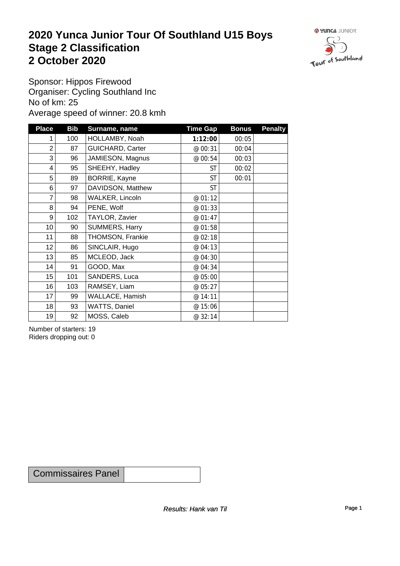#### **2020 Yunca Junior Tour Of Southland U15 Boys** Stage 2 Classification<br>
2 October 2020 **2 October 2020**



Sponsor: Hippos Firewood Organiser: Cycling Southland Inc No of km: 25 Average speed of winner: 20.8 kmh

| <b>Place</b>    | <b>Bib</b> | Surname, name           | <b>Time Gap</b> | <b>Bonus</b> | <b>Penalty</b> |
|-----------------|------------|-------------------------|-----------------|--------------|----------------|
|                 | 100        | HOLLAMBY, Noah          | 1:12:00         | 00:05        |                |
| $\overline{2}$  | 87         | <b>GUICHARD, Carter</b> | @ 00:31         | 00:04        |                |
| 3               | 96         | JAMIESON, Magnus        | @ 00:54         | 00:03        |                |
| 4               | 95         | SHEEHY, Hadley          | <b>ST</b>       | 00:02        |                |
| 5               | 89         | BORRIE, Kayne           | <b>ST</b>       | 00:01        |                |
| 6               | 97         | DAVIDSON, Matthew       | <b>ST</b>       |              |                |
| $\overline{7}$  | 98         | WALKER, Lincoln         | @ 01:12         |              |                |
| 8               | 94         | PENE, Wolf              | @ 01:33         |              |                |
| 9               | 102        | TAYLOR, Zavier          | @ 01:47         |              |                |
| 10 <sup>1</sup> | 90         | SUMMERS, Harry          | @ 01:58         |              |                |
| 11              | 88         | THOMSON, Frankie        | @ 02:18         |              |                |
| 12              | 86         | SINCLAIR, Hugo          | @ 04:13         |              |                |
| 13              | 85         | MCLEOD, Jack            | @ 04:30         |              |                |
| 14              | 91         | GOOD, Max               | @ 04:34         |              |                |
| 15              | 101        | SANDERS, Luca           | @ 05:00         |              |                |
| 16              | 103        | RAMSEY, Liam            | @ 05:27         |              |                |
| 17              | 99         | WALLACE, Hamish         | @ 14:11         |              |                |
| 18              | 93         | WATTS, Daniel           | @ 15:06         |              |                |
| 19              | 92         | MOSS, Caleb             | @ 32:14         |              |                |

Number of starters: 19 Riders dropping out: 0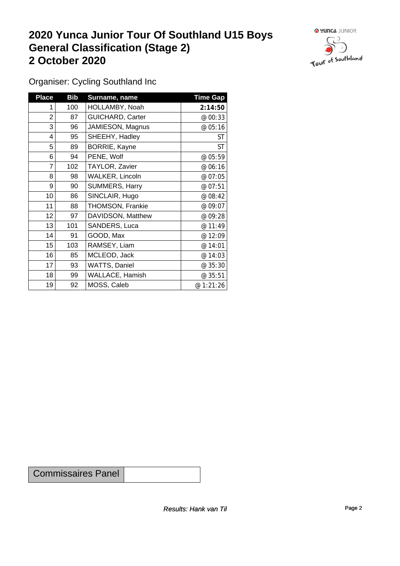#### **2020 Yunca Junior Tour Of Southland U15 Boys General Classification (Stage 2)**<br>
2 October 2020 **2 October 2020**



Organiser: Cycling Southland Inc

| <b>Place</b> | <b>Bib</b> | Surname, name           | <b>Time Gap</b> |
|--------------|------------|-------------------------|-----------------|
| 1            | 100        | HOLLAMBY, Noah          | 2:14:50         |
| 2            | 87         | <b>GUICHARD, Carter</b> | @ 00:33         |
| 3            | 96         | JAMIESON, Magnus        | @ 05:16         |
| 4            | 95         | SHEEHY, Hadley          | ST              |
| 5            | 89         | BORRIE, Kayne           | <b>ST</b>       |
| 6            | 94         | PENE, Wolf              | @ 05:59         |
| 7            | 102        | TAYLOR, Zavier          | @ 06:16         |
| 8            | 98         | <b>WALKER, Lincoln</b>  | @ 07:05         |
| 9            | 90         | SUMMERS, Harry          | @ 07:51         |
| 10           | 86         | SINCLAIR, Hugo          | @ 08:42         |
| 11           | 88         | THOMSON, Frankie        | @ 09:07         |
| 12           | 97         | DAVIDSON, Matthew       | @ 09:28         |
| 13           | 101        | SANDERS, Luca           | @ 11:49         |
| 14           | 91         | GOOD, Max               | @ 12:09         |
| 15           | 103        | RAMSEY, Liam            | @ 14:01         |
| 16           | 85         | MCLEOD, Jack            | @ 14:03         |
| 17           | 93         | <b>WATTS, Daniel</b>    | @ 35:30         |
| 18           | 99         | <b>WALLACE, Hamish</b>  | @ 35:51         |
| 19           | 92         | MOSS, Caleb             | @ 1:21:26       |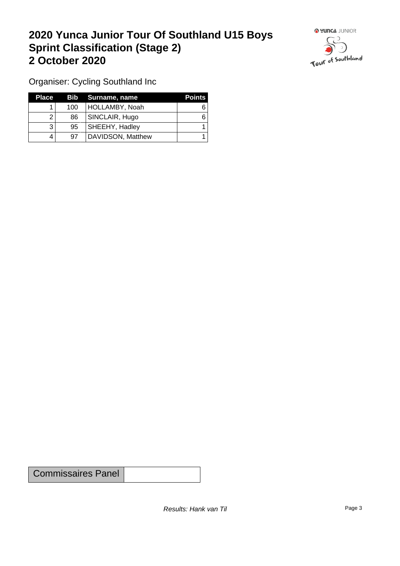## **2020 Yunca Junior Tour Of Southland U15 Boys Sprint Classification (Stage 2) 2 October 2020**



Organiser: Cycling Southland Inc

| <b>Place</b> |     | <b>Bib</b> Surname, name | <b>Points</b> |
|--------------|-----|--------------------------|---------------|
|              | 100 | HOLLAMBY, Noah           |               |
|              | 86  | SINCLAIR, Hugo           |               |
|              | 95  | <b>SHEEHY, Hadley</b>    |               |
| 4            | 97  | DAVIDSON, Matthew        |               |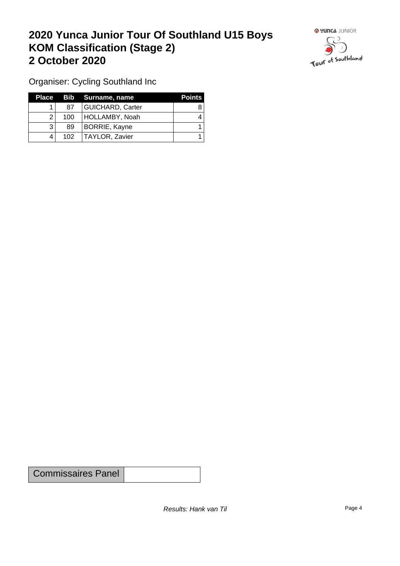## **2020 Yunca Junior Tour Of Southland U15 Boys KOM Classification (Stage 2) 2 October 2020**



Organiser: Cycling Southland Inc

| Place |     | Bib Surname, name       | <b>Points</b> |
|-------|-----|-------------------------|---------------|
|       | 87  | <b>GUICHARD, Carter</b> |               |
|       | 100 | HOLLAMBY, Noah          |               |
|       | 89  | BORRIE, Kayne           |               |
|       | 102 | TAYLOR, Zavier          |               |